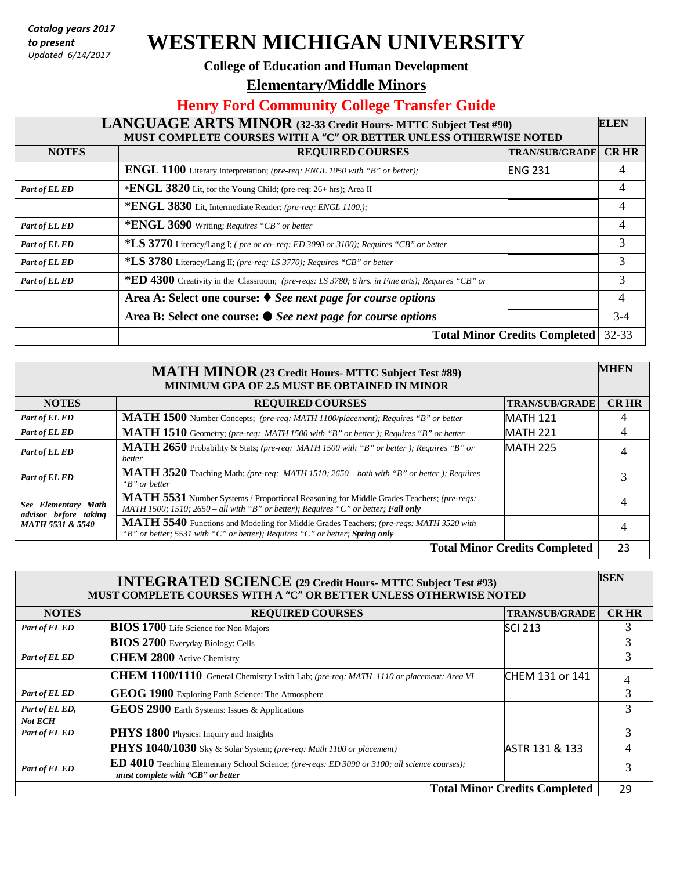*Catalog years 2017 to present Updated 6/14/2017*

# **WESTERN MICHIGAN UNIVERSITY**

#### **College of Education and Human Development**

**Elementary/Middle Minors** 

## **Henry Ford Community College Transfer Guide**

### **LANGUAGE ARTS MINOR (32-33 Credit Hours- MTTC Subject Test #90) MUST COMPLETE COURSES WITH A "C" OR BETTER UNLESS OTHERWISE NOTED ELEN NOTES REQUIRED COURSES TRAN/SUB/GRADE CR HR ENGL 1100** Literary Interpretation; *(pre-req: ENGL 1050 with "B" or better);* ENG 231 4 4 *Part of EL ED* \***ENGL** 3820 Lit, for the Young Child; (pre-req: 26+ hrs); Area II 4 **\*ENGL 3830** Lit, Intermediate Reader; *(pre-req: ENGL 1100.);* 4 *Part* of *EL ED* **\*ENGL 3690** Writing; *Requires* "*CB"* or *better* 4 *Part of EL ED* **\*LS 3770** Literacy/Lang I; *( pre or co- req: ED 3090 or 3100); Requires "CB" or better* 3 *Part of EL ED* **\*LS 3780** Literacy/Lang II; *(pre-req: LS 3770); Requires "CB" or better* 3 *Part of EL ED* **\*\* ED** 4300 Creativity in the Classroom; *(pre-reqs: LS 3780; 6 hrs. in Fine arts); Requires* "*CB" or* 3 **Area A: Select one course:** *See next page for course options* 4 **Area B: Select one course:** *See next page for course options* 3-4 **Total Minor Credits Completed** 32-33

| <b>MHEN</b><br><b>MATH MINOR</b> (23 Credit Hours- MTTC Subject Test #89)<br><b>MINIMUM GPA OF 2.5 MUST BE OBTAINED IN MINOR</b> |                                                                                                                                                                                |                       |             |
|----------------------------------------------------------------------------------------------------------------------------------|--------------------------------------------------------------------------------------------------------------------------------------------------------------------------------|-----------------------|-------------|
| <b>NOTES</b>                                                                                                                     | <b>REQUIRED COURSES</b>                                                                                                                                                        | <b>TRAN/SUB/GRADE</b> | <b>CRHR</b> |
| Part of EL ED                                                                                                                    | MATH 1500 Number Concepts; (pre-req: MATH 1100/placement); Requires "B" or better                                                                                              | <b>MATH 121</b>       | 4           |
| Part of EL ED                                                                                                                    | MATH 1510 Geometry; (pre-req: MATH 1500 with "B" or better ); Requires "B" or better                                                                                           | MATH 221              | 4           |
| Part of EL ED                                                                                                                    | MATH 2650 Probability & Stats; (pre-req: MATH 1500 with "B" or better ); Requires "B" or<br>better                                                                             | <b>MATH 225</b>       |             |
| Part of EL ED                                                                                                                    | MATH 3520 Teaching Math; (pre-req: MATH 1510; 2650 - both with "B" or better); Requires<br>"B" or better                                                                       |                       |             |
| See Elementary Math<br>advisor before taking<br><b>MATH 5531 &amp; 5540</b>                                                      | MATH 5531 Number Systems / Proportional Reasoning for Middle Grades Teachers; (pre-reqs:<br>MATH 1500; 1510; 2650 – all with "B" or better); Requires "C" or better; Fall only |                       |             |
|                                                                                                                                  | MATH 5540 Functions and Modeling for Middle Grades Teachers; (pre-reqs: MATH 3520 with<br>"B" or better; 5531 with "C" or better); Requires "C" or better; Spring only         |                       |             |
| <b>Total Minor Credits Completed</b>                                                                                             |                                                                                                                                                                                |                       |             |

| <b>ISEN</b><br><b>INTEGRATED SCIENCE</b> (29 Credit Hours- MTTC Subject Test #93)<br>MUST COMPLETE COURSES WITH A "C" OR BETTER UNLESS OTHERWISE NOTED |                                                                                                                                           |                       |             |
|--------------------------------------------------------------------------------------------------------------------------------------------------------|-------------------------------------------------------------------------------------------------------------------------------------------|-----------------------|-------------|
| <b>NOTES</b>                                                                                                                                           | <b>REQUIRED COURSES</b>                                                                                                                   | <b>TRAN/SUB/GRADE</b> | <b>CRHR</b> |
| Part of EL ED                                                                                                                                          | <b>BIOS 1700</b> Life Science for Non-Majors                                                                                              | SCI 213               | 3           |
|                                                                                                                                                        | <b>BIOS 2700</b> Everyday Biology: Cells                                                                                                  |                       | 3           |
| Part of EL ED                                                                                                                                          | <b>CHEM 2800</b> Active Chemistry                                                                                                         |                       | 3           |
|                                                                                                                                                        | CHEM 1100/1110 General Chemistry I with Lab; (pre-req: MATH 1110 or placement; Area VI                                                    | CHEM 131 or 141       |             |
| Part of EL ED                                                                                                                                          | GEOG 1900 Exploring Earth Science: The Atmosphere                                                                                         |                       | 3           |
| Part of EL ED,<br><b>Not ECH</b>                                                                                                                       | GEOS 2900 Earth Systems: Issues & Applications                                                                                            |                       | 3           |
| Part of EL ED                                                                                                                                          | PHYS 1800 Physics: Inquiry and Insights                                                                                                   |                       | 3           |
|                                                                                                                                                        | PHYS 1040/1030 Sky & Solar System; (pre-req: Math 1100 or placement)                                                                      | ASTR 131 & 133        |             |
| Part of EL ED                                                                                                                                          | <b>ED 4010</b> Teaching Elementary School Science; (pre-reqs: ED 3090 or 3100; all science courses);<br>must complete with "CB" or better |                       | 3           |
| <b>Total Minor Credits Completed</b>                                                                                                                   |                                                                                                                                           |                       |             |